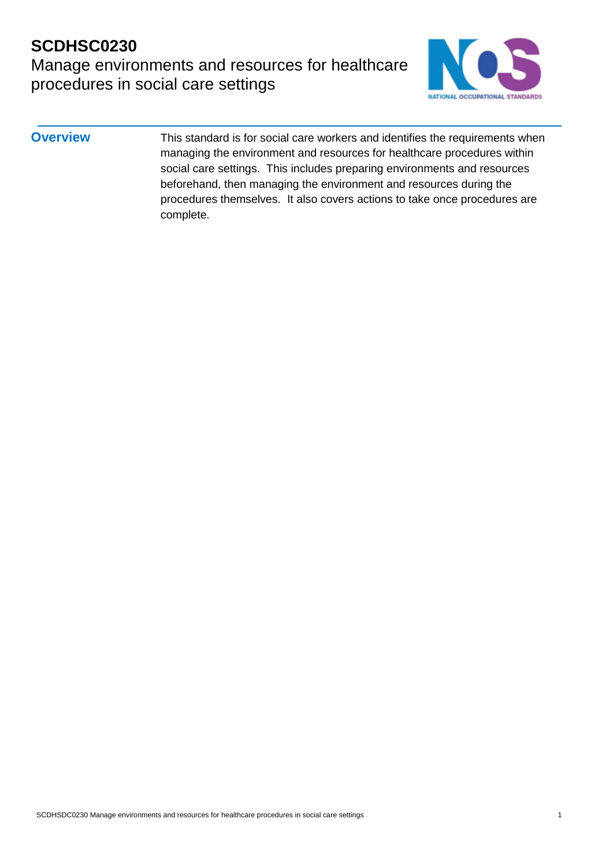Manage environments and resources for healthcare procedures in social care settings



**Overview** This standard is for social care workers and identifies the requirements when managing the environment and resources for healthcare procedures within social care settings. This includes preparing environments and resources beforehand, then managing the environment and resources during the procedures themselves. It also covers actions to take once procedures are complete.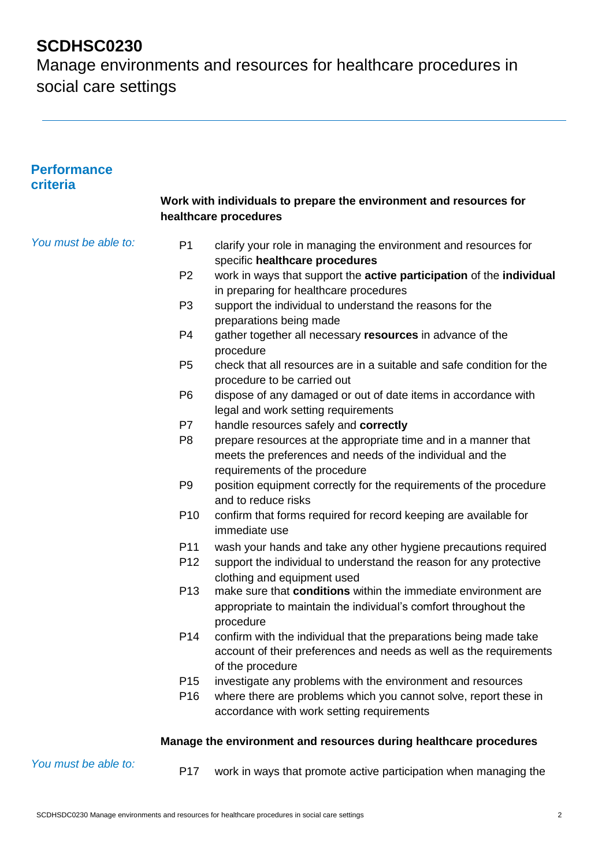| <b>Performance</b><br>criteria |                                                                                             |                                                                                                                                                              |  |  |
|--------------------------------|---------------------------------------------------------------------------------------------|--------------------------------------------------------------------------------------------------------------------------------------------------------------|--|--|
|                                | Work with individuals to prepare the environment and resources for<br>healthcare procedures |                                                                                                                                                              |  |  |
| You must be able to:           | P <sub>1</sub>                                                                              | clarify your role in managing the environment and resources for<br>specific healthcare procedures                                                            |  |  |
|                                | P <sub>2</sub>                                                                              | work in ways that support the active participation of the individual<br>in preparing for healthcare procedures                                               |  |  |
|                                | P <sub>3</sub>                                                                              | support the individual to understand the reasons for the<br>preparations being made                                                                          |  |  |
|                                | P <sub>4</sub>                                                                              | gather together all necessary resources in advance of the<br>procedure                                                                                       |  |  |
|                                | P <sub>5</sub>                                                                              | check that all resources are in a suitable and safe condition for the<br>procedure to be carried out                                                         |  |  |
|                                | P <sub>6</sub>                                                                              | dispose of any damaged or out of date items in accordance with<br>legal and work setting requirements                                                        |  |  |
|                                | P7                                                                                          | handle resources safely and correctly                                                                                                                        |  |  |
|                                | P <sub>8</sub>                                                                              | prepare resources at the appropriate time and in a manner that<br>meets the preferences and needs of the individual and the<br>requirements of the procedure |  |  |
|                                | P <sub>9</sub>                                                                              | position equipment correctly for the requirements of the procedure<br>and to reduce risks                                                                    |  |  |
|                                | P <sub>10</sub>                                                                             | confirm that forms required for record keeping are available for<br>immediate use                                                                            |  |  |
|                                | P <sub>11</sub>                                                                             | wash your hands and take any other hygiene precautions required                                                                                              |  |  |
|                                | P <sub>12</sub>                                                                             | support the individual to understand the reason for any protective<br>clothing and equipment used                                                            |  |  |
|                                | P <sub>13</sub>                                                                             | make sure that conditions within the immediate environment are<br>appropriate to maintain the individual's comfort throughout the<br>procedure               |  |  |
|                                | P <sub>14</sub>                                                                             | confirm with the individual that the preparations being made take<br>account of their preferences and needs as well as the requirements<br>of the procedure  |  |  |
|                                | P <sub>15</sub>                                                                             | investigate any problems with the environment and resources                                                                                                  |  |  |
|                                | P <sub>16</sub>                                                                             | where there are problems which you cannot solve, report these in<br>accordance with work setting requirements                                                |  |  |
|                                |                                                                                             | Manage the environment and resources during healthcare procedures                                                                                            |  |  |
| You must be able to:           | P <sub>17</sub>                                                                             | work in ways that promote active participation when managing the                                                                                             |  |  |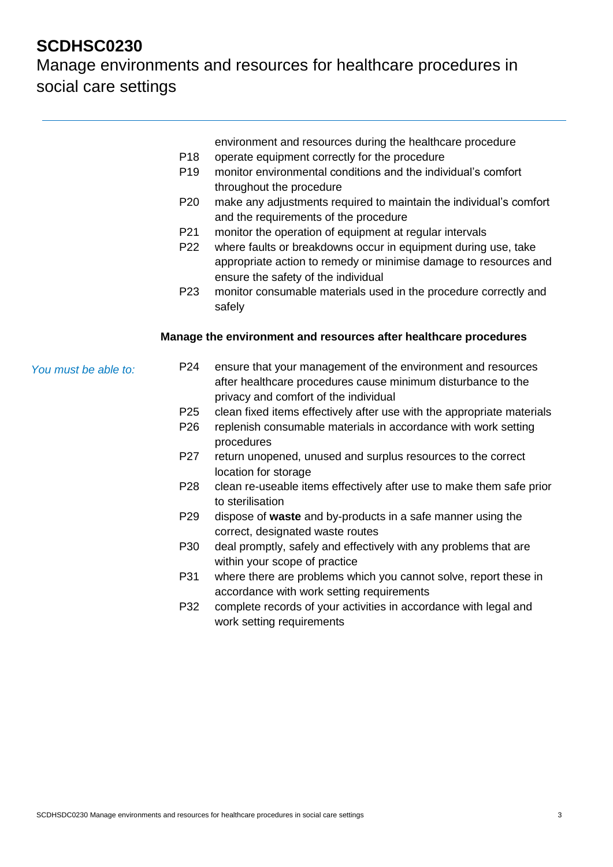|                      |                 | environment and resources during the healthcare procedure                                                                                                                 |
|----------------------|-----------------|---------------------------------------------------------------------------------------------------------------------------------------------------------------------------|
|                      | P <sub>18</sub> | operate equipment correctly for the procedure                                                                                                                             |
|                      | P <sub>19</sub> | monitor environmental conditions and the individual's comfort<br>throughout the procedure                                                                                 |
|                      | P <sub>20</sub> | make any adjustments required to maintain the individual's comfort<br>and the requirements of the procedure                                                               |
|                      | P21             | monitor the operation of equipment at regular intervals                                                                                                                   |
|                      | P <sub>22</sub> | where faults or breakdowns occur in equipment during use, take<br>appropriate action to remedy or minimise damage to resources and<br>ensure the safety of the individual |
|                      | P <sub>23</sub> | monitor consumable materials used in the procedure correctly and<br>safely                                                                                                |
|                      |                 | Manage the environment and resources after healthcare procedures                                                                                                          |
| You must be able to: | P <sub>24</sub> | ensure that your management of the environment and resources<br>after healthcare procedures cause minimum disturbance to the<br>privacy and comfort of the individual     |
|                      | P <sub>25</sub> | clean fixed items effectively after use with the appropriate materials                                                                                                    |
|                      | P <sub>26</sub> | replenish consumable materials in accordance with work setting<br>procedures                                                                                              |
|                      | P27             | return unopened, unused and surplus resources to the correct<br>location for storage                                                                                      |
|                      | P28             | clean re-useable items effectively after use to make them safe prior<br>to sterilisation                                                                                  |
|                      | P <sub>29</sub> | dispose of waste and by-products in a safe manner using the<br>correct, designated waste routes                                                                           |
|                      | P30             | deal promptly, safely and effectively with any problems that are<br>within your scope of practice                                                                         |
|                      | P31             | where there are problems which you cannot solve, report these in<br>accordance with work setting requirements                                                             |
|                      | P32             | complete records of your activities in accordance with legal and<br>work setting requirements                                                                             |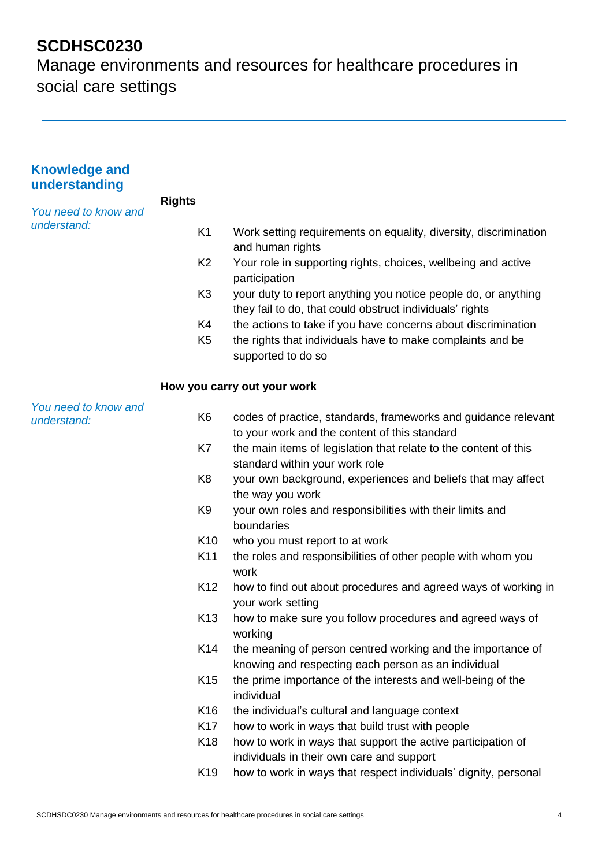| <b>Knowledge and</b><br>understanding |                 |                                                                                                                            |
|---------------------------------------|-----------------|----------------------------------------------------------------------------------------------------------------------------|
|                                       | <b>Rights</b>   |                                                                                                                            |
| You need to know and<br>understand:   |                 |                                                                                                                            |
|                                       | K <sub>1</sub>  | Work setting requirements on equality, diversity, discrimination<br>and human rights                                       |
|                                       | K <sub>2</sub>  | Your role in supporting rights, choices, wellbeing and active                                                              |
|                                       |                 | participation                                                                                                              |
|                                       | K <sub>3</sub>  | your duty to report anything you notice people do, or anything<br>they fail to do, that could obstruct individuals' rights |
|                                       | K4              | the actions to take if you have concerns about discrimination                                                              |
|                                       | K <sub>5</sub>  | the rights that individuals have to make complaints and be                                                                 |
|                                       |                 | supported to do so                                                                                                         |
|                                       |                 | How you carry out your work                                                                                                |
| You need to know and                  | K <sub>6</sub>  | codes of practice, standards, frameworks and guidance relevant                                                             |
| understand:                           |                 | to your work and the content of this standard                                                                              |
|                                       | K7              | the main items of legislation that relate to the content of this                                                           |
|                                       |                 | standard within your work role                                                                                             |
|                                       | K <sub>8</sub>  | your own background, experiences and beliefs that may affect                                                               |
|                                       |                 | the way you work                                                                                                           |
|                                       | K <sub>9</sub>  | your own roles and responsibilities with their limits and                                                                  |
|                                       |                 | boundaries                                                                                                                 |
|                                       | K <sub>10</sub> | who you must report to at work                                                                                             |
|                                       | K11             | the roles and responsibilities of other people with whom you<br>work                                                       |
|                                       | K <sub>12</sub> | how to find out about procedures and agreed ways of working in                                                             |
|                                       |                 | your work setting                                                                                                          |
|                                       | K <sub>13</sub> | how to make sure you follow procedures and agreed ways of<br>working                                                       |
|                                       | K14             | the meaning of person centred working and the importance of                                                                |
|                                       |                 | knowing and respecting each person as an individual                                                                        |
|                                       | K <sub>15</sub> | the prime importance of the interests and well-being of the<br>individual                                                  |
|                                       | K16             | the individual's cultural and language context                                                                             |
|                                       | K <sub>17</sub> | how to work in ways that build trust with people                                                                           |
|                                       | K <sub>18</sub> | how to work in ways that support the active participation of                                                               |
|                                       |                 | individuals in their own care and support                                                                                  |
|                                       | K <sub>19</sub> | how to work in ways that respect individuals' dignity, personal                                                            |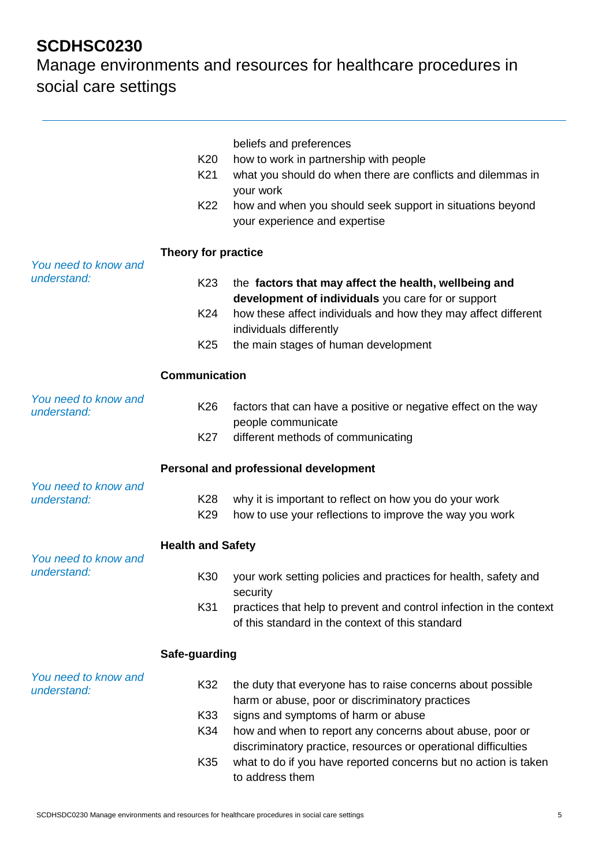|                                     | K <sub>20</sub><br>K <sub>21</sub><br>K22 | beliefs and preferences<br>how to work in partnership with people<br>what you should do when there are conflicts and dilemmas in<br>your work<br>how and when you should seek support in situations beyond<br>your experience and expertise |  |
|-------------------------------------|-------------------------------------------|---------------------------------------------------------------------------------------------------------------------------------------------------------------------------------------------------------------------------------------------|--|
| You need to know and<br>understand: | Theory for practice                       |                                                                                                                                                                                                                                             |  |
|                                     | K <sub>23</sub>                           | the factors that may affect the health, wellbeing and<br>development of individuals you care for or support                                                                                                                                 |  |
|                                     | K24                                       | how these affect individuals and how they may affect different<br>individuals differently                                                                                                                                                   |  |
|                                     | K <sub>25</sub>                           | the main stages of human development                                                                                                                                                                                                        |  |
|                                     | <b>Communication</b>                      |                                                                                                                                                                                                                                             |  |
| You need to know and<br>understand: | K26                                       | factors that can have a positive or negative effect on the way<br>people communicate                                                                                                                                                        |  |
|                                     | K <sub>27</sub>                           | different methods of communicating                                                                                                                                                                                                          |  |
|                                     |                                           | Personal and professional development                                                                                                                                                                                                       |  |
| You need to know and<br>understand: | K28<br>K <sub>29</sub>                    | why it is important to reflect on how you do your work<br>how to use your reflections to improve the way you work                                                                                                                           |  |
| You need to know and                | <b>Health and Safety</b>                  |                                                                                                                                                                                                                                             |  |
| understand:                         | K30                                       | your work setting policies and practices for health, safety and<br>security                                                                                                                                                                 |  |
|                                     | K31                                       | practices that help to prevent and control infection in the context<br>of this standard in the context of this standard                                                                                                                     |  |
|                                     | Safe-guarding                             |                                                                                                                                                                                                                                             |  |
| You need to know and<br>understand: | K32                                       | the duty that everyone has to raise concerns about possible<br>harm or abuse, poor or discriminatory practices                                                                                                                              |  |
|                                     | K33                                       | signs and symptoms of harm or abuse                                                                                                                                                                                                         |  |
|                                     | K34                                       | how and when to report any concerns about abuse, poor or                                                                                                                                                                                    |  |
|                                     | K35                                       | discriminatory practice, resources or operational difficulties<br>what to do if you have reported concerns but no action is taken<br>to address them                                                                                        |  |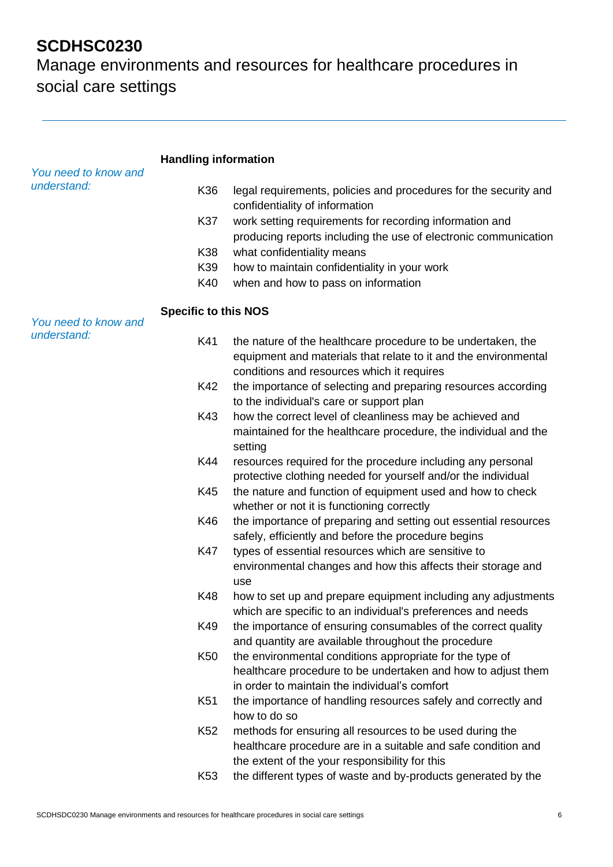|                                     | <b>Handling information</b> |                                                                                                                                                                               |
|-------------------------------------|-----------------------------|-------------------------------------------------------------------------------------------------------------------------------------------------------------------------------|
| You need to know and<br>understand: | K36                         | legal requirements, policies and procedures for the security and                                                                                                              |
|                                     |                             | confidentiality of information                                                                                                                                                |
|                                     | K37                         | work setting requirements for recording information and<br>producing reports including the use of electronic communication                                                    |
|                                     | K38                         | what confidentiality means                                                                                                                                                    |
|                                     | K39                         | how to maintain confidentiality in your work                                                                                                                                  |
|                                     | K40                         | when and how to pass on information                                                                                                                                           |
|                                     | <b>Specific to this NOS</b> |                                                                                                                                                                               |
| You need to know and<br>understand: |                             |                                                                                                                                                                               |
|                                     | K41                         | the nature of the healthcare procedure to be undertaken, the<br>equipment and materials that relate to it and the environmental<br>conditions and resources which it requires |
|                                     | K42                         | the importance of selecting and preparing resources according<br>to the individual's care or support plan                                                                     |
|                                     | K43                         | how the correct level of cleanliness may be achieved and<br>maintained for the healthcare procedure, the individual and the<br>setting                                        |
|                                     | K44                         | resources required for the procedure including any personal<br>protective clothing needed for yourself and/or the individual                                                  |
|                                     | K45                         | the nature and function of equipment used and how to check<br>whether or not it is functioning correctly                                                                      |
|                                     | K46                         | the importance of preparing and setting out essential resources<br>safely, efficiently and before the procedure begins                                                        |
|                                     | <b>K47</b>                  | types of essential resources which are sensitive to<br>environmental changes and how this affects their storage and<br>use                                                    |
|                                     | K48                         | how to set up and prepare equipment including any adjustments<br>which are specific to an individual's preferences and needs                                                  |
|                                     | K49                         | the importance of ensuring consumables of the correct quality<br>and quantity are available throughout the procedure                                                          |
|                                     | K <sub>50</sub>             | the environmental conditions appropriate for the type of<br>healthcare procedure to be undertaken and how to adjust them<br>in order to maintain the individual's comfort     |
|                                     | K <sub>51</sub>             | the importance of handling resources safely and correctly and<br>how to do so                                                                                                 |
|                                     | K <sub>52</sub>             | methods for ensuring all resources to be used during the<br>healthcare procedure are in a suitable and safe condition and<br>the extent of the your responsibility for this   |
|                                     | K <sub>53</sub>             | the different types of waste and by-products generated by the                                                                                                                 |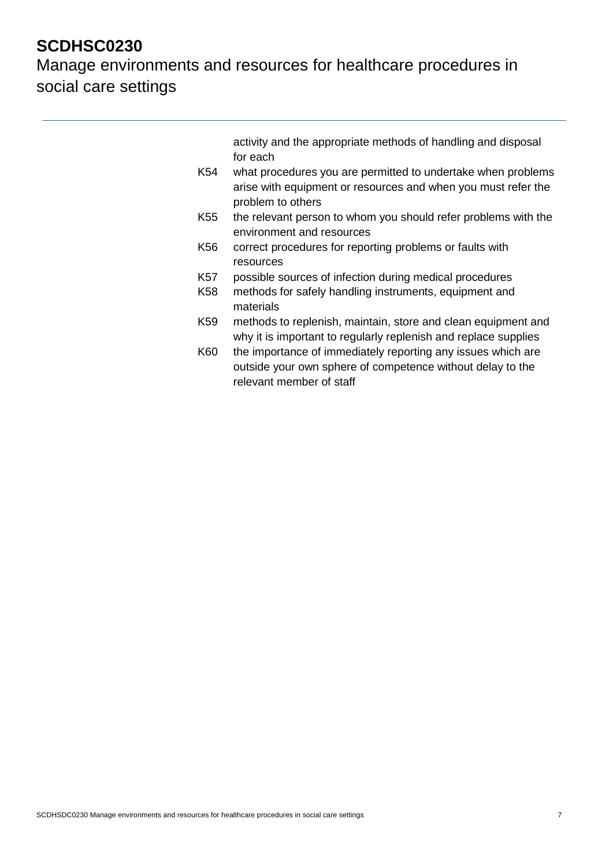Manage environments and resources for healthcare procedures in social care settings

> activity and the appropriate methods of handling and disposal for each

- K54 what procedures you are permitted to undertake when problems arise with equipment or resources and when you must refer the problem to others
- K55 the relevant person to whom you should refer problems with the environment and resources
- K56 correct procedures for reporting problems or faults with resources
- K57 possible sources of infection during medical procedures
- K58 methods for safely handling instruments, equipment and materials
- K59 methods to replenish, maintain, store and clean equipment and why it is important to regularly replenish and replace supplies
- K60 the importance of immediately reporting any issues which are outside your own sphere of competence without delay to the relevant member of staff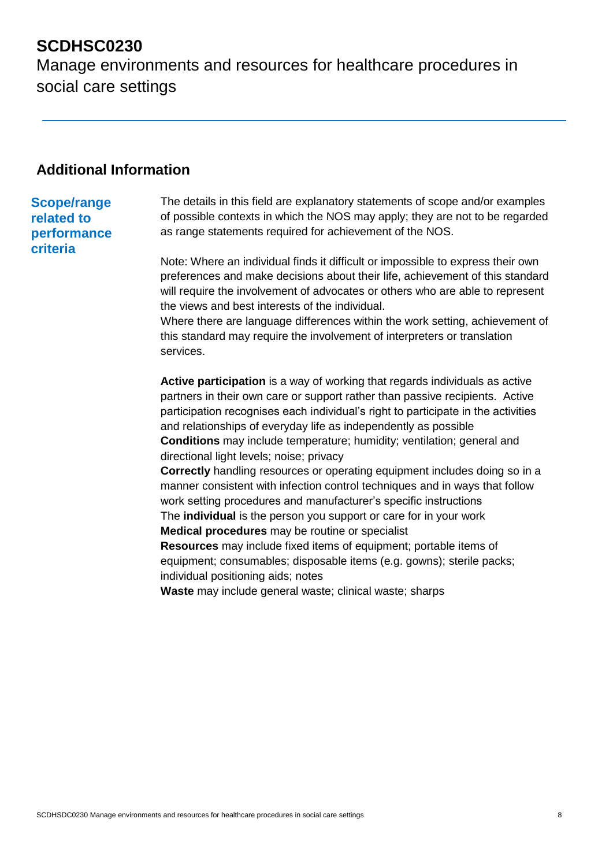Manage environments and resources for healthcare procedures in social care settings

### **Additional Information**

#### **Scope/range related to performance criteria**

The details in this field are explanatory statements of scope and/or examples of possible contexts in which the NOS may apply; they are not to be regarded as range statements required for achievement of the NOS.

Note: Where an individual finds it difficult or impossible to express their own preferences and make decisions about their life, achievement of this standard will require the involvement of advocates or others who are able to represent the views and best interests of the individual.

Where there are language differences within the work setting, achievement of this standard may require the involvement of interpreters or translation services.

**Active participation** is a way of working that regards individuals as active partners in their own care or support rather than passive recipients. Active participation recognises each individual's right to participate in the activities and relationships of everyday life as independently as possible **Conditions** may include temperature; humidity; ventilation; general and directional light levels; noise; privacy

**Correctly** handling resources or operating equipment includes doing so in a manner consistent with infection control techniques and in ways that follow work setting procedures and manufacturer's specific instructions The **individual** is the person you support or care for in your work

**Medical procedures** may be routine or specialist

**Resources** may include fixed items of equipment; portable items of equipment; consumables; disposable items (e.g. gowns); sterile packs; individual positioning aids; notes

**Waste** may include general waste; clinical waste; sharps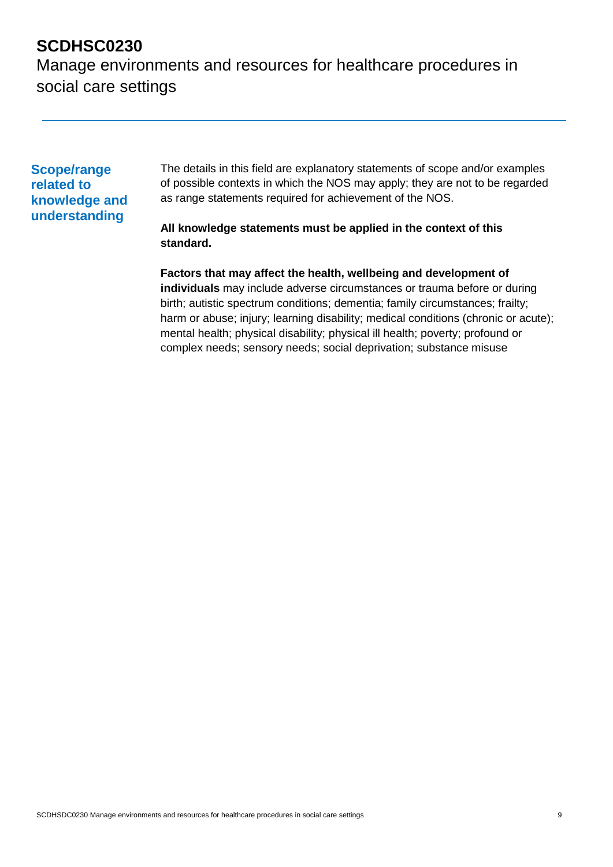Manage environments and resources for healthcare procedures in social care settings

#### **Scope/range related to knowledge and understanding**

The details in this field are explanatory statements of scope and/or examples of possible contexts in which the NOS may apply; they are not to be regarded as range statements required for achievement of the NOS.

#### **All knowledge statements must be applied in the context of this standard.**

**Factors that may affect the health, wellbeing and development of individuals** may include adverse circumstances or trauma before or during birth; autistic spectrum conditions; dementia; family circumstances; frailty; harm or abuse; injury; learning disability; medical conditions (chronic or acute); mental health; physical disability; physical ill health; poverty; profound or complex needs; sensory needs; social deprivation; substance misuse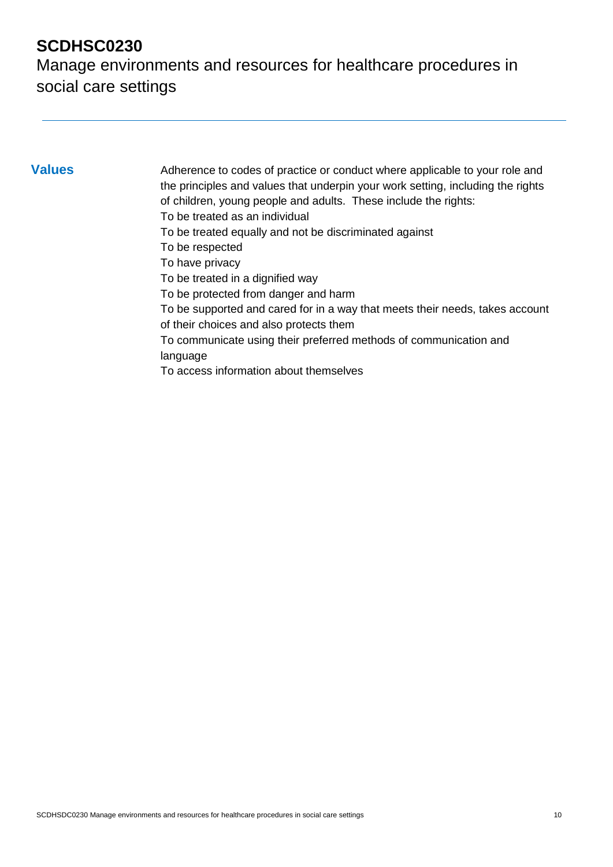Manage environments and resources for healthcare procedures in social care settings

**Values** Adherence to codes of practice or conduct where applicable to your role and the principles and values that underpin your work setting, including the rights of children, young people and adults. These include the rights: To be treated as an individual To be treated equally and not be discriminated against To be respected To have privacy To be treated in a dignified way To be protected from danger and harm To be supported and cared for in a way that meets their needs, takes account of their choices and also protects them To communicate using their preferred methods of communication and language To access information about themselves